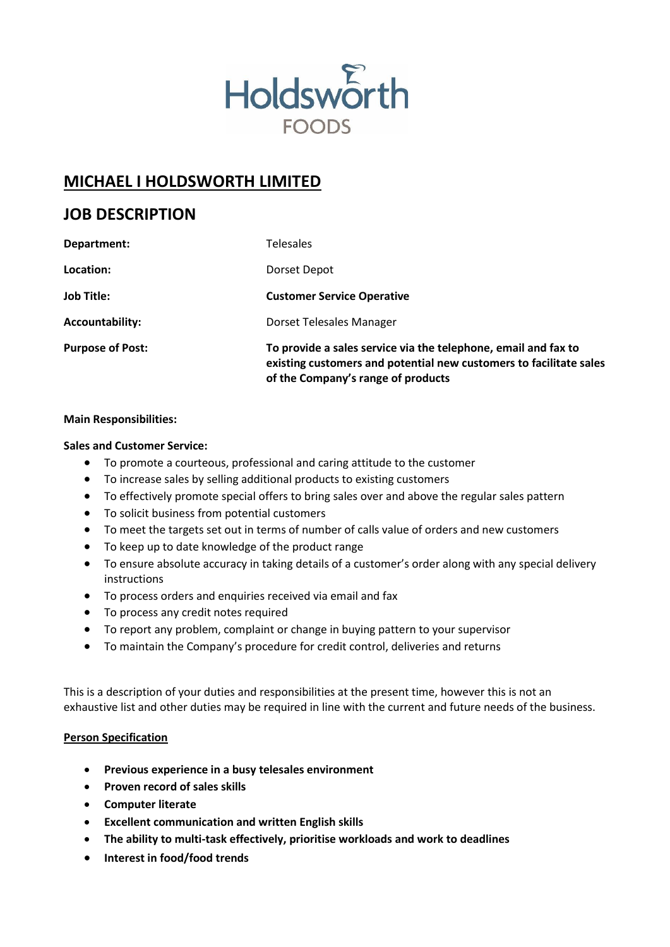

# **MICHAEL I HOLDSWORTH LIMITED**

## **JOB DESCRIPTION**

| Department:             | <b>Telesales</b>                                                                                                                                                           |
|-------------------------|----------------------------------------------------------------------------------------------------------------------------------------------------------------------------|
| Location:               | Dorset Depot                                                                                                                                                               |
| <b>Job Title:</b>       | <b>Customer Service Operative</b>                                                                                                                                          |
| Accountability:         | Dorset Telesales Manager                                                                                                                                                   |
| <b>Purpose of Post:</b> | To provide a sales service via the telephone, email and fax to<br>existing customers and potential new customers to facilitate sales<br>of the Company's range of products |

#### **Main Responsibilities:**

#### **Sales and Customer Service:**

- To promote a courteous, professional and caring attitude to the customer
- To increase sales by selling additional products to existing customers
- To effectively promote special offers to bring sales over and above the regular sales pattern
- To solicit business from potential customers
- To meet the targets set out in terms of number of calls value of orders and new customers
- To keep up to date knowledge of the product range
- To ensure absolute accuracy in taking details of a customer's order along with any special delivery instructions
- To process orders and enquiries received via email and fax
- To process any credit notes required
- To report any problem, complaint or change in buying pattern to your supervisor
- To maintain the Company's procedure for credit control, deliveries and returns

This is a description of your duties and responsibilities at the present time, however this is not an exhaustive list and other duties may be required in line with the current and future needs of the business.

#### **Person Specification**

- **Previous experience in a busy telesales environment**
- **Proven record of sales skills**
- **Computer literate**
- **Excellent communication and written English skills**
- **The ability to multi-task effectively, prioritise workloads and work to deadlines**
- **Interest in food/food trends**